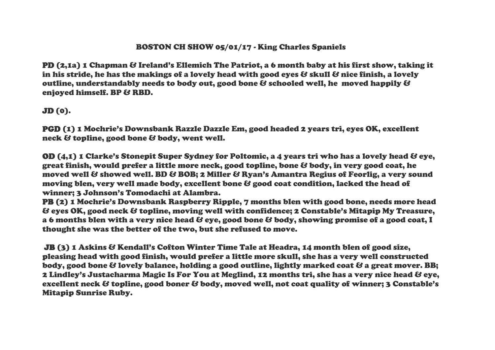## BOSTON CH SHOW 05/01/17 - King Charles Spaniels

PD (2.1a) 1 Chapman & Ireland's Ellemich The Patriot, a 6 month baby at his first show, taking it in his stride, he has the makings of a lovely head with good eyes  $\mathcal B$  skull  $\mathcal B$  nice finish, a lovely outline, understandably needs to body out, good bone & schooled well, he moved happily & enjoyed himself. BP & RBD.

## JD (0).

PGD (1) 1 Mochrie's Downsbank Razzle Dazzle Em, good headed 2 years tri, eyes OK, excellent neck & topline, good bone & body, went well.

OD (4,1) 1 Clarke's Stonepit Super Sydney for Poltomic, a 4 years tri who has a lovely head & eye, great finish, would prefer a little more neck, good topline, bone & body, in very good coat, he moved well & showed well. BD & BOB; 2 Miller & Ryan's Amantra Regius of Feorlig, a very sound moving blen, very well made body, excellent bone & good coat condition, lacked the head of winner; 3 Johnson's Tomodachi at Alambra.

PB (2) 1 Mochrie's Downsbank Raspberry Ripple, 7 months blen with good bone, needs more head & eyes OK, good neck & topline, moving well with confidence; 2 Constable's Mitapip My Treasure, a 6 months blen with a very nice head  $\mathcal G$  eye, good bone  $\mathcal G$  body, showing promise of a good coat, I thought she was the better of the two, but she refused to move.

JB (3) 1 Askins & Kendall's Cofton Winter Time Tale at Headra, 14 month blen of good size, pleasing head with good finish, would prefer a little more skull, she has a very well constructed body, good bone & lovely balance, holding a good outline, lightly marked coat & a great mover. BB; 2 Lindley's Justacharma Magic Is For You at Meglind, 12 months tri, she has a very nice head & eye, excellent neck & topline, good boner & body, moved well, not coat quality of winner; 3 Constable's Mitapip Sunrise Ruby.